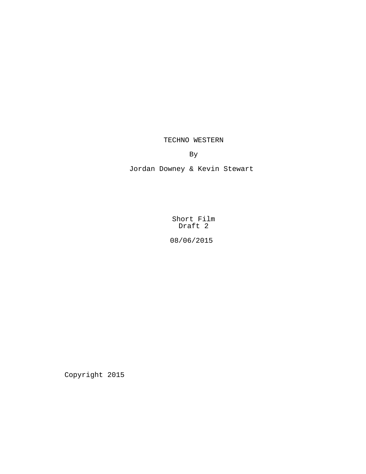TECHNO WESTERN

By

Jordan Downey & Kevin Stewart

Short Film Draft 2

08/06/2015

Copyright 2015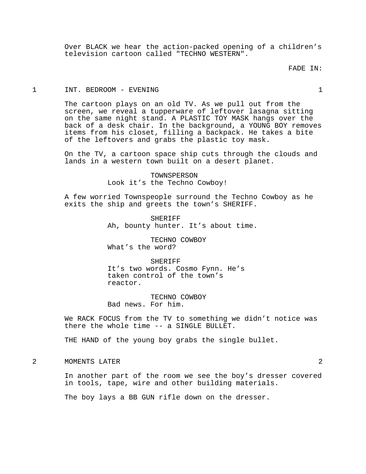Over BLACK we hear the action-packed opening of a children's television cartoon called "TECHNO WESTERN".

# FADE IN:

### 1 INT. BEDROOM - EVENING 1

The cartoon plays on an old TV. As we pull out from the screen, we reveal a tupperware of leftover lasagna sitting on the same night stand. A PLASTIC TOY MASK hangs over the back of a desk chair. In the background, a YOUNG BOY removes items from his closet, filling a backpack. He takes a bite of the leftovers and grabs the plastic toy mask.

On the TV, a cartoon space ship cuts through the clouds and lands in a western town built on a desert planet.

> TOWNSPERSON Look it's the Techno Cowboy!

A few worried Townspeople surround the Techno Cowboy as he exits the ship and greets the town's SHERIFF.

> SHERIFF Ah, bounty hunter. It's about time.

TECHNO COWBOY What's the word?

**SHERIFF** It's two words. Cosmo Fynn. He's taken control of the town's reactor.

TECHNO COWBOY Bad news. For him.

We RACK FOCUS from the TV to something we didn't notice was there the whole time -- a SINGLE BULLET.

THE HAND of the young boy grabs the single bullet.

2 MOMENTS LATER 2

In another part of the room we see the boy's dresser covered in tools, tape, wire and other building materials.

The boy lays a BB GUN rifle down on the dresser.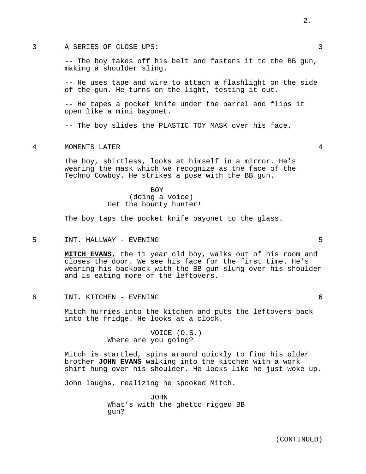#### 3 A SERIES OF CLOSE UPS: 3

-- The boy takes off his belt and fastens it to the BB gun, making a shoulder sling.

-- He uses tape and wire to attach a flashlight on the side of the gun. He turns on the light, testing it out.

-- He tapes a pocket knife under the barrel and flips it open like a mini bayonet.

-- The boy slides the PLASTIC TOY MASK over his face.

# 4 MOMENTS LATER 4

The boy, shirtless, looks at himself in a mirror. He's wearing the mask which we recognize as the face of the Techno Cowboy. He strikes a pose with the BB gun.

# BOY (doing a voice) Get the bounty hunter!

The boy taps the pocket knife bayonet to the glass.

### 5 INT. HALLWAY - EVENING 5

**MITCH EVANS**, the 11 year old boy, walks out of his room and closes the door. We see his face for the first time. He's wearing his backpack with the BB gun slung over his shoulder and is eating more of the leftovers.

6 INT. KITCHEN - EVENING 6

Mitch hurries into the kitchen and puts the leftovers back into the fridge. He looks at a clock.

> VOICE (O.S.) Where are you going?

Mitch is startled, spins around quickly to find his older brother **JOHN EVANS** walking into the kitchen with a work shirt hung over his shoulder. He looks like he just woke up.

John laughs, realizing he spooked Mitch.

JOHN What's with the ghetto rigged BB gun?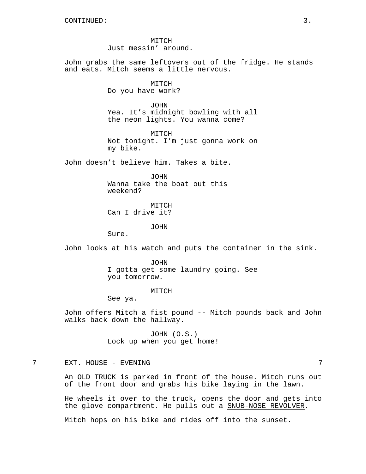MITCH Just messin' around.

John grabs the same leftovers out of the fridge. He stands and eats. Mitch seems a little nervous.

> MITCH Do you have work?

JOHN Yea. It's midnight bowling with all the neon lights. You wanna come?

MITCH Not tonight. I'm just gonna work on my bike.

John doesn't believe him. Takes a bite.

JOHN Wanna take the boat out this weekend?

MITCH Can I drive it?

JOHN

Sure.

John looks at his watch and puts the container in the sink.

JOHN I gotta get some laundry going. See you tomorrow.

#### MITCH

See ya.

John offers Mitch a fist pound -- Mitch pounds back and John walks back down the hallway.

> JOHN (O.S.) Lock up when you get home!

# 7 EXT. HOUSE - EVENING 7

An OLD TRUCK is parked in front of the house. Mitch runs out of the front door and grabs his bike laying in the lawn.

He wheels it over to the truck, opens the door and gets into the glove compartment. He pulls out a SNUB-NOSE REVOLVER.

Mitch hops on his bike and rides off into the sunset.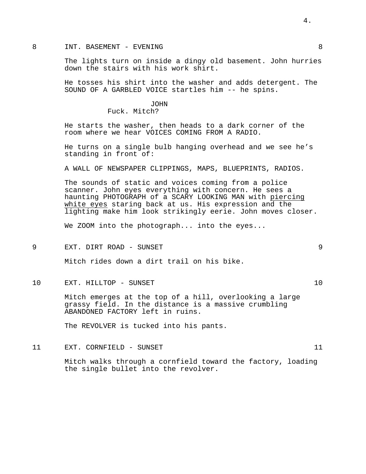#### 8 INT. BASEMENT - EVENING 8

The lights turn on inside a dingy old basement. John hurries down the stairs with his work shirt.

He tosses his shirt into the washer and adds detergent. The SOUND OF A GARBLED VOICE startles him -- he spins.

> JOHN Fuck. Mitch?

He starts the washer, then heads to a dark corner of the room where we hear VOICES COMING FROM A RADIO.

He turns on a single bulb hanging overhead and we see he's standing in front of:

A WALL OF NEWSPAPER CLIPPINGS, MAPS, BLUEPRINTS, RADIOS.

The sounds of static and voices coming from a police scanner. John eyes everything with concern. He sees a haunting PHOTOGRAPH of a SCARY LOOKING MAN with piercing white eyes staring back at us. His expression and the lighting make him look strikingly eerie. John moves closer.

We ZOOM into the photograph... into the eyes...

9 EXT. DIRT ROAD - SUNSET 9

Mitch rides down a dirt trail on his bike.

10 EXT. HILLTOP - SUNSET 10

Mitch emerges at the top of a hill, overlooking a large grassy field. In the distance is a massive crumbling ABANDONED FACTORY left in ruins.

The REVOLVER is tucked into his pants.

11 EXT. CORNFIELD - SUNSET 11

Mitch walks through a cornfield toward the factory, loading the single bullet into the revolver.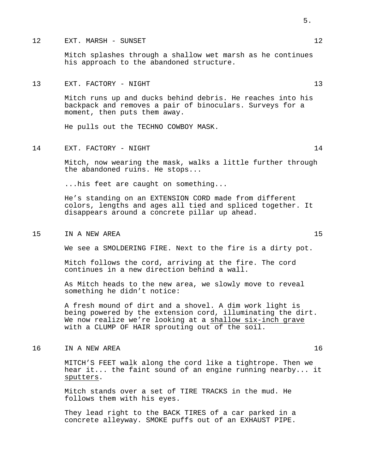#### 12 EXT. MARSH - SUNSET 12

Mitch splashes through a shallow wet marsh as he continues his approach to the abandoned structure.

# 13 EXT. FACTORY - NIGHT 13

Mitch runs up and ducks behind debris. He reaches into his backpack and removes a pair of binoculars. Surveys for a moment, then puts them away.

He pulls out the TECHNO COWBOY MASK.

# 14 EXT. FACTORY - NIGHT 14

Mitch, now wearing the mask, walks a little further through the abandoned ruins. He stops...

...his feet are caught on something...

He's standing on an EXTENSION CORD made from different colors, lengths and ages all tied and spliced together. It disappears around a concrete pillar up ahead.

#### 15 IN A NEW AREA 15

We see a SMOLDERING FIRE. Next to the fire is a dirty pot.

Mitch follows the cord, arriving at the fire. The cord continues in a new direction behind a wall.

As Mitch heads to the new area, we slowly move to reveal something he didn't notice:

A fresh mound of dirt and a shovel. A dim work light is being powered by the extension cord, illuminating the dirt. We now realize we're looking at a shallow six-inch grave with a CLUMP OF HAIR sprouting out of the soil.

# 16 IN A NEW AREA 16

MITCH'S FEET walk along the cord like a tightrope. Then we hear it... the faint sound of an engine running nearby... it sputters.

Mitch stands over a set of TIRE TRACKS in the mud. He follows them with his eyes.

They lead right to the BACK TIRES of a car parked in a concrete alleyway. SMOKE puffs out of an EXHAUST PIPE.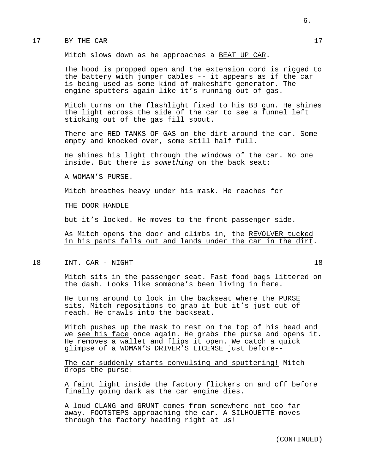#### 17 BY THE CAR 17

Mitch slows down as he approaches a BEAT UP CAR.

The hood is propped open and the extension cord is rigged to the battery with jumper cables -- it appears as if the car is being used as some kind of makeshift generator. The engine sputters again like it's running out of gas.

Mitch turns on the flashlight fixed to his BB gun. He shines the light across the side of the car to see a funnel left sticking out of the gas fill spout.

There are RED TANKS OF GAS on the dirt around the car. Some empty and knocked over, some still half full.

He shines his light through the windows of the car. No one inside. But there is *something* on the back seat:

A WOMAN'S PURSE.

Mitch breathes heavy under his mask. He reaches for

THE DOOR HANDLE

but it's locked. He moves to the front passenger side.

As Mitch opens the door and climbs in, the REVOLVER tucked in his pants falls out and lands under the car in the dirt.

18 INT. CAR - NIGHT 18

Mitch sits in the passenger seat. Fast food bags littered on the dash. Looks like someone's been living in here.

He turns around to look in the backseat where the PURSE sits. Mitch repositions to grab it but it's just out of reach. He crawls into the backseat.

Mitch pushes up the mask to rest on the top of his head and we see his face once again. He grabs the purse and opens it. He removes a wallet and flips it open. We catch a quick glimpse of a WOMAN'S DRIVER'S LICENSE just before--

The car suddenly starts convulsing and sputtering! Mitch drops the purse!

A faint light inside the factory flickers on and off before finally going dark as the car engine dies.

A loud CLANG and GRUNT comes from somewhere not too far away. FOOTSTEPS approaching the car. A SILHOUETTE moves through the factory heading right at us!

6.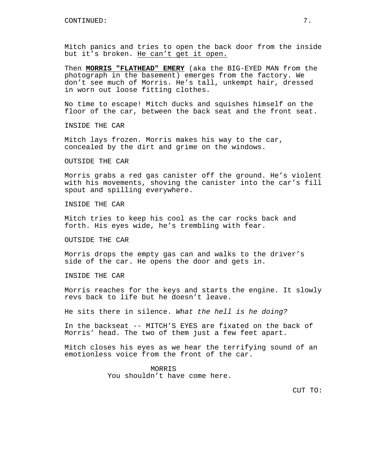Mitch panics and tries to open the back door from the inside but it's broken. He can't get it open.

Then **MORRIS "FLATHEAD" EMERY** (aka the BIG-EYED MAN from the photograph in the basement) emerges from the factory. We don't see much of Morris. He's tall, unkempt hair, dressed in worn out loose fitting clothes.

No time to escape! Mitch ducks and squishes himself on the floor of the car, between the back seat and the front seat.

INSIDE THE CAR

Mitch lays frozen. Morris makes his way to the car, concealed by the dirt and grime on the windows.

OUTSIDE THE CAR

Morris grabs a red gas canister off the ground. He's violent with his movements, shoving the canister into the car's fill spout and spilling everywhere.

INSIDE THE CAR

Mitch tries to keep his cool as the car rocks back and forth. His eyes wide, he's trembling with fear.

OUTSIDE THE CAR

Morris drops the empty gas can and walks to the driver's side of the car. He opens the door and gets in.

INSIDE THE CAR

Morris reaches for the keys and starts the engine. It slowly revs back to life but he doesn't leave.

He sits there in silence. *What the hell is he doing?*

In the backseat -- MITCH'S EYES are fixated on the back of Morris' head. The two of them just a few feet apart.

Mitch closes his eyes as we hear the terrifying sound of an emotionless voice from the front of the car.

> MORRIS You shouldn't have come here.

> > CUT TO: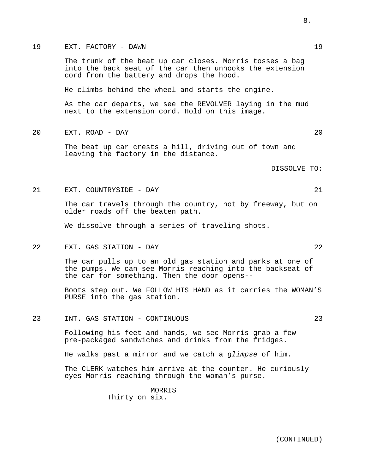The trunk of the beat up car closes. Morris tosses a bag into the back seat of the car then unhooks the extension cord from the battery and drops the hood.

He climbs behind the wheel and starts the engine.

As the car departs, we see the REVOLVER laying in the mud next to the extension cord. Hold on this image.

20 EXT. ROAD - DAY 20

The beat up car crests a hill, driving out of town and leaving the factory in the distance.

DISSOLVE TO:

21 EXT. COUNTRYSIDE - DAY 21

The car travels through the country, not by freeway, but on older roads off the beaten path.

We dissolve through a series of traveling shots.

22 EXT. GAS STATION - DAY 22

The car pulls up to an old gas station and parks at one of the pumps. We can see Morris reaching into the backseat of the car for something. Then the door opens--

Boots step out. We FOLLOW HIS HAND as it carries the WOMAN'S PURSE into the gas station.

23 INT. GAS STATION - CONTINUOUS 23

Following his feet and hands, we see Morris grab a few pre-packaged sandwiches and drinks from the fridges.

He walks past a mirror and we catch a *glimpse* of him.

The CLERK watches him arrive at the counter. He curiously eyes Morris reaching through the woman's purse.

> **MORRIS** Thirty on six.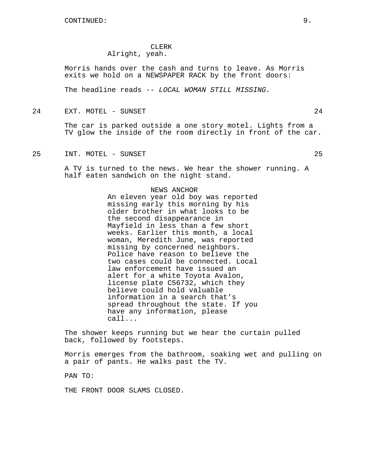## CLERK Alright, yeah.

Morris hands over the cash and turns to leave. As Morris exits we hold on a NEWSPAPER RACK by the front doors:

The headline reads -- *LOCAL WOMAN STILL MISSING.*

24 EXT. MOTEL - SUNSET 24

The car is parked outside a one story motel. Lights from a TV glow the inside of the room directly in front of the car.

25 INT. MOTEL - SUNSET 25

A TV is turned to the news. We hear the shower running. A half eaten sandwich on the night stand.

# NEWS ANCHOR

An eleven year old boy was reported missing early this morning by his older brother in what looks to be the second disappearance in Mayfield in less than a few short weeks. Earlier this month, a local woman, Meredith June, was reported missing by concerned neighbors. Police have reason to believe the two cases could be connected. Local law enforcement have issued an alert for a white Toyota Avalon, license plate C56732, which they believe could hold valuable information in a search that's spread throughout the state. If you have any information, please call...

The shower keeps running but we hear the curtain pulled back, followed by footsteps.

Morris emerges from the bathroom, soaking wet and pulling on a pair of pants. He walks past the TV.

PAN TO:

THE FRONT DOOR SLAMS CLOSED.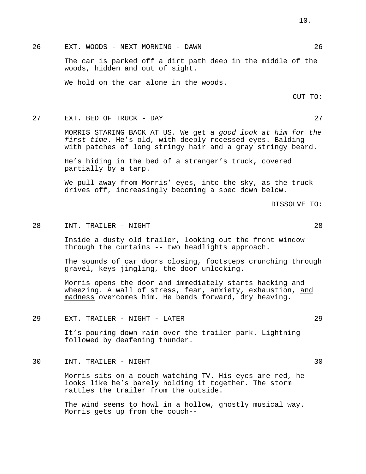26 EXT. WOODS - NEXT MORNING - DAWN 26

The car is parked off a dirt path deep in the middle of the woods, hidden and out of sight.

We hold on the car alone in the woods.

CUT TO:

#### 27 EXT. BED OF TRUCK - DAY 27

MORRIS STARING BACK AT US. We get a *good look at him for the first time*. He's old, with deeply recessed eyes. Balding with patches of long stringy hair and a gray stringy beard.

He's hiding in the bed of a stranger's truck, covered partially by a tarp.

We pull away from Morris' eyes, into the sky, as the truck drives off, increasingly becoming a spec down below.

DISSOLVE TO:

#### 28 INT. TRAILER - NIGHT 28

Inside a dusty old trailer, looking out the front window through the curtains -- two headlights approach.

The sounds of car doors closing, footsteps crunching through gravel, keys jingling, the door unlocking.

Morris opens the door and immediately starts hacking and wheezing. A wall of stress, fear, anxiety, exhaustion, and madness overcomes him. He bends forward, dry heaving.

#### 29 EXT. TRAILER - NIGHT - LATER 29

It's pouring down rain over the trailer park. Lightning followed by deafening thunder.

#### 30 INT. TRAILER - NIGHT 30

Morris sits on a couch watching TV. His eyes are red, he looks like he's barely holding it together. The storm rattles the trailer from the outside.

The wind seems to howl in a hollow, ghostly musical way. Morris gets up from the couch--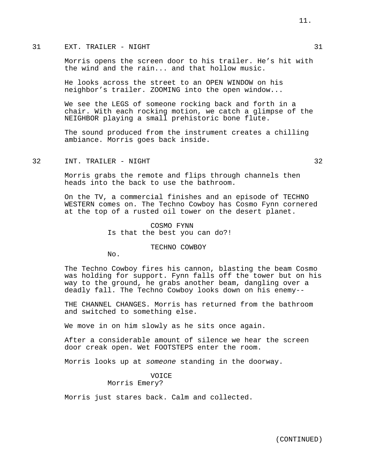# 31 EXT. TRAILER - NIGHT 31

Morris opens the screen door to his trailer. He's hit with the wind and the rain... and that hollow music.

He looks across the street to an OPEN WINDOW on his neighbor's trailer. ZOOMING into the open window...

We see the LEGS of someone rocking back and forth in a chair. With each rocking motion, we catch a glimpse of the NEIGHBOR playing a small prehistoric bone flute.

The sound produced from the instrument creates a chilling ambiance. Morris goes back inside.

# 32 INT. TRAILER - NIGHT 32

Morris grabs the remote and flips through channels then heads into the back to use the bathroom.

On the TV, a commercial finishes and an episode of TECHNO WESTERN comes on. The Techno Cowboy has Cosmo Fynn cornered at the top of a rusted oil tower on the desert planet.

> COSMO FYNN Is that the best you can do?!

> > TECHNO COWBOY

No.

The Techno Cowboy fires his cannon, blasting the beam Cosmo was holding for support. Fynn falls off the tower but on his way to the ground, he grabs another beam, dangling over a deadly fall. The Techno Cowboy looks down on his enemy--

THE CHANNEL CHANGES. Morris has returned from the bathroom and switched to something else.

We move in on him slowly as he sits once again.

After a considerable amount of silence we hear the screen door creak open. Wet FOOTSTEPS enter the room.

Morris looks up at *someone* standing in the doorway.

VOICE Morris Emery?

Morris just stares back. Calm and collected.